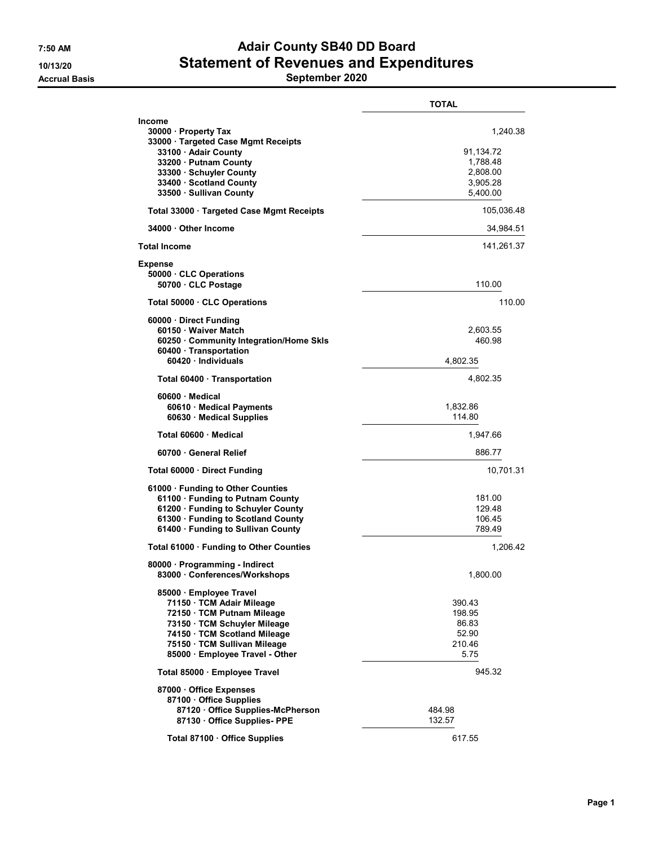## 7:50 AM Adair County SB40 DD Board 10/13/20 Statement of Revenues and Expenditures

Accrual Basis **September 2020** 

|                                                                                                                                                                                                                   | <b>TOTAL</b>                                                          |
|-------------------------------------------------------------------------------------------------------------------------------------------------------------------------------------------------------------------|-----------------------------------------------------------------------|
| <b>Income</b><br>30000 · Property Tax<br>33000 · Targeted Case Mgmt Receipts<br>33100 · Adair County<br>33200 · Putnam County<br>33300 · Schuyler County<br>33400 · Scotland County<br>33500 · Sullivan County    | 1,240.38<br>91,134.72<br>1,788.48<br>2,808.00<br>3,905.28<br>5,400.00 |
| Total 33000 · Targeted Case Mgmt Receipts                                                                                                                                                                         | 105,036.48                                                            |
| 34000 Other Income                                                                                                                                                                                                | 34,984.51                                                             |
| <b>Total Income</b>                                                                                                                                                                                               | 141,261.37                                                            |
| <b>Expense</b><br>50000 CLC Operations<br>50700 · CLC Postage                                                                                                                                                     | 110.00                                                                |
| Total 50000 CLC Operations                                                                                                                                                                                        | 110.00                                                                |
| 60000 Direct Funding<br>60150 · Waiver Match<br>60250 · Community Integration/Home Skls<br>60400 · Transportation<br>60420 · Individuals                                                                          | 2,603.55<br>460.98<br>4,802.35                                        |
| Total 60400 Transportation                                                                                                                                                                                        | 4,802.35                                                              |
| 60600 Medical<br>60610 · Medical Payments<br>60630 Medical Supplies                                                                                                                                               | 1,832.86<br>114.80                                                    |
| Total 60600 Medical                                                                                                                                                                                               | 1,947.66                                                              |
| 60700 General Relief                                                                                                                                                                                              | 886.77                                                                |
| Total 60000 Direct Funding                                                                                                                                                                                        | 10,701.31                                                             |
| 61000 · Funding to Other Counties<br>61100 · Funding to Putnam County<br>61200 · Funding to Schuyler County<br>61300 · Funding to Scotland County<br>61400 · Funding to Sullivan County                           | 181.00<br>129.48<br>106.45<br>789.49                                  |
| Total 61000 · Funding to Other Counties                                                                                                                                                                           | 1,206.42                                                              |
| 80000 · Programming - Indirect<br>83000 Conferences/Workshops                                                                                                                                                     | 1,800.00                                                              |
| 85000 · Employee Travel<br>71150 TCM Adair Mileage<br>72150 · TCM Putnam Mileage<br>73150 TCM Schuyler Mileage<br>74150 · TCM Scotland Mileage<br>75150 · TCM Sullivan Mileage<br>85000 · Employee Travel - Other | 390.43<br>198.95<br>86.83<br>52.90<br>210.46<br>5.75                  |
| Total 85000 · Employee Travel                                                                                                                                                                                     | 945.32                                                                |
| 87000 Office Expenses<br>87100 · Office Supplies<br>87120 Office Supplies-McPherson<br>87130 Office Supplies- PPE                                                                                                 | 484.98<br>132.57                                                      |
| Total 87100 · Office Supplies                                                                                                                                                                                     | 617.55                                                                |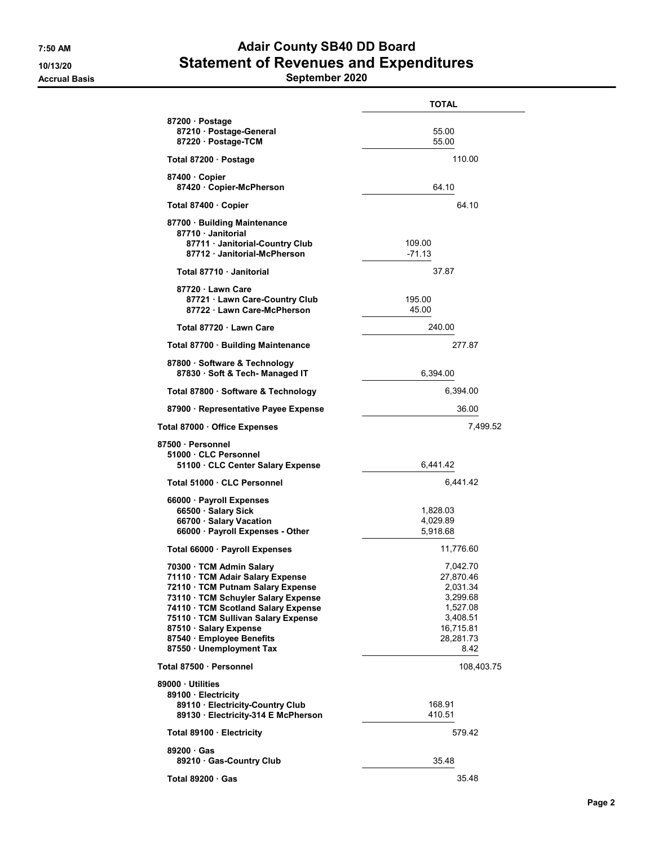## 7:50 AM Adair County SB40 DD Board 10/13/20 Statement of Revenues and Expenditures

Accrual Basis **September 2020** 

|                                                                                                                                                                                                                                                                                                         | <b>TOTAL</b>                                                                                            |
|---------------------------------------------------------------------------------------------------------------------------------------------------------------------------------------------------------------------------------------------------------------------------------------------------------|---------------------------------------------------------------------------------------------------------|
| 87200 · Postage<br>87210 · Postage-General<br>87220 · Postage-TCM                                                                                                                                                                                                                                       | 55.00<br>55.00                                                                                          |
| Total 87200 · Postage                                                                                                                                                                                                                                                                                   | 110.00                                                                                                  |
| 87400 Copier<br>87420 Copier-McPherson                                                                                                                                                                                                                                                                  | 64.10                                                                                                   |
| Total 87400 · Copier                                                                                                                                                                                                                                                                                    | 64 10                                                                                                   |
| 87700 · Building Maintenance<br>87710 · Janitorial<br>87711 Janitorial-Country Club<br>87712 Janitorial-McPherson                                                                                                                                                                                       | 109.00<br>$-71.13$                                                                                      |
| Total 87710 · Janitorial                                                                                                                                                                                                                                                                                | 37.87                                                                                                   |
| 87720 · Lawn Care<br>87721 Lawn Care-Country Club<br>87722 · Lawn Care-McPherson                                                                                                                                                                                                                        | 195.00<br>45.00                                                                                         |
| Total 87720 · Lawn Care                                                                                                                                                                                                                                                                                 | 240.00                                                                                                  |
| Total 87700 · Building Maintenance                                                                                                                                                                                                                                                                      | 277.87                                                                                                  |
| 87800 · Software & Technology<br>87830 · Soft & Tech- Managed IT                                                                                                                                                                                                                                        | 6,394.00                                                                                                |
| Total 87800 · Software & Technology                                                                                                                                                                                                                                                                     | 6,394.00                                                                                                |
| 87900 · Representative Payee Expense                                                                                                                                                                                                                                                                    | 36.00                                                                                                   |
| Total 87000 · Office Expenses                                                                                                                                                                                                                                                                           | 7,499.52                                                                                                |
| 87500 · Personnel<br>51000 CLC Personnel<br>51100 CLC Center Salary Expense                                                                                                                                                                                                                             | 6,441.42                                                                                                |
| Total 51000 · CLC Personnel                                                                                                                                                                                                                                                                             | 6,441.42                                                                                                |
| 66000 · Payroll Expenses<br>66500 · Salary Sick<br>66700 · Salary Vacation<br>66000 · Payroll Expenses - Other                                                                                                                                                                                          | 1,828.03<br>4,029.89<br>5,918.68                                                                        |
| Total 66000 · Payroll Expenses                                                                                                                                                                                                                                                                          | 11,776.60                                                                                               |
| 70300 · TCM Admin Salary<br>71110 · TCM Adair Salary Expense<br>72110 · TCM Putnam Salary Expense<br>73110 · TCM Schuyler Salary Expense<br>74110 · TCM Scotland Salary Expense<br>75110 · TCM Sullivan Salary Expense<br>87510 Salary Expense<br>87540 · Employee Benefits<br>87550 · Unemployment Tax | 7,042.70<br>27,870.46<br>2,031.34<br>3,299.68<br>1,527.08<br>3,408.51<br>16,715.81<br>28,281.73<br>8.42 |
| Total 87500 · Personnel                                                                                                                                                                                                                                                                                 | 108,403.75                                                                                              |
| 89000 · Utilities<br>89100 · Electricity<br>89110 · Electricity-Country Club<br>89130 Electricity-314 E McPherson                                                                                                                                                                                       | 168.91<br>410.51                                                                                        |
| Total 89100 · Electricity                                                                                                                                                                                                                                                                               | 579.42                                                                                                  |
| 89200 Gas<br>89210 · Gas-Country Club                                                                                                                                                                                                                                                                   | 35.48                                                                                                   |
| Total 89200 · Gas                                                                                                                                                                                                                                                                                       | 35.48                                                                                                   |